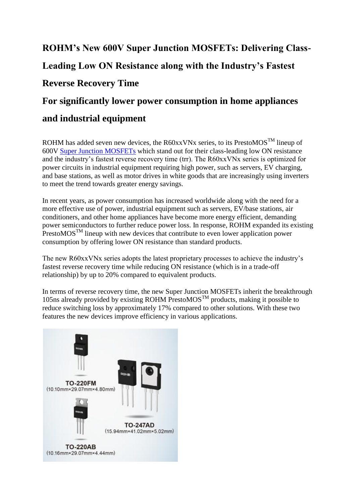# **ROHM's New 600V Super Junction MOSFETs: Delivering Class-Leading Low ON Resistance along with the Industry's Fastest Reverse Recovery Time For significantly lower power consumption in home appliances**

## **and industrial equipment**

ROHM has added seven new devices, the R60xxVNx series, to its PrestoMOS<sup>TM</sup> lineup of 600V [Super Junction MOSFETs](https://www.rohm.com/support/super-junction-mosfet) which stand out for their class-leading low ON resistance and the industry's fastest reverse recovery time (trr). The R60xxVNx series is optimized for power circuits in industrial equipment requiring high power, such as servers, EV charging, and base stations, as well as motor drives in white goods that are increasingly using inverters to meet the trend towards greater energy savings.

In recent years, as power consumption has increased worldwide along with the need for a more effective use of power, industrial equipment such as servers, EV/base stations, air conditioners, and other home appliances have become more energy efficient, demanding power semiconductors to further reduce power loss. In response, ROHM expanded its existing PrestoMOS<sup>TM</sup> lineup with new devices that contribute to even lower application power consumption by offering lower ON resistance than standard products.

The new R60xxVNx series adopts the latest proprietary processes to achieve the industry's fastest reverse recovery time while reducing ON resistance (which is in a trade-off relationship) by up to 20% compared to equivalent products.

In terms of reverse recovery time, the new Super Junction MOSFETs inherit the breakthrough 105ns already provided by existing ROHM PrestoMOS<sup>TM</sup> products, making it possible to reduce switching loss by approximately 17% compared to other solutions. With these two features the new devices improve efficiency in various applications.

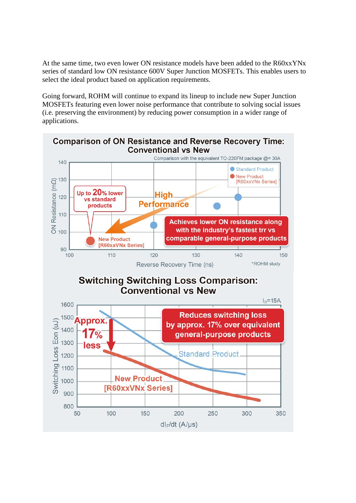At the same time, two even lower ON resistance models have been added to the R60xxYNx series of standard low ON resistance 600V Super Junction MOSFETs. This enables users to select the ideal product based on application requirements.

Going forward, ROHM will continue to expand its lineup to include new Super Junction MOSFETs featuring even lower noise performance that contribute to solving social issues (i.e. preserving the environment) by reducing power consumption in a wider range of applications.

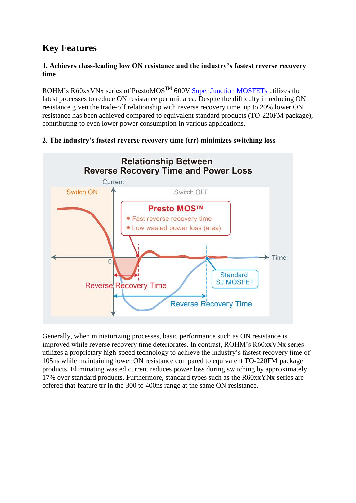## **Key Features**

#### **1. Achieves class-leading low ON resistance and the industry's fastest reverse recovery time**

ROHM's R60xxVNx series of PrestoMOS<sup>TM</sup> 600V [Super Junction MOSFETs](https://www.rohm.com/support/super-junction-mosfet) utilizes the latest processes to reduce ON resistance per unit area. Despite the difficulty in reducing ON resistance given the trade-off relationship with reverse recovery time, up to 20% lower ON resistance has been achieved compared to equivalent standard products (TO-220FM package), contributing to even lower power consumption in various applications.



### **2. The industry's fastest reverse recovery time (trr) minimizes switching loss**

Generally, when miniaturizing processes, basic performance such as ON resistance is improved while reverse recovery time deteriorates. In contrast, ROHM's R60xxVNx series utilizes a proprietary high-speed technology to achieve the industry's fastest recovery time of 105ns while maintaining lower ON resistance compared to equivalent TO-220FM package products. Eliminating wasted current reduces power loss during switching by approximately 17% over standard products. Furthermore, standard types such as the R60xxYNx series are offered that feature trr in the 300 to 400ns range at the same ON resistance.